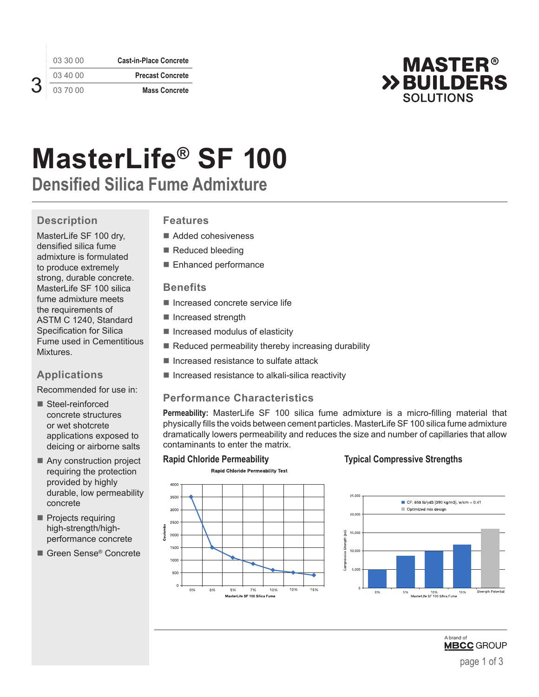03 30 00 **Cast-in-Place Concrete** 03 40 00 **Precast Concrete** 03 70 00 **Mass Concrete**



# **MasterLife® SF 100**

**Densified Silica Fume Admixture**

# **Description**

MasterLife SF 100 dry, densified silica fume admixture is formulated to produce extremely strong, durable concrete. MasterLife SF 100 silica fume admixture meets the requirements of ASTM C 1240, Standard Specification for Silica Fume used in Cementitious Mixtures.

# **Applications**

Recommended for use in:

- Steel-reinforced concrete structures or wet shotcrete applications exposed to deicing or airborne salts
- Any construction project requiring the protection provided by highly durable, low permeability concrete
- Projects requiring high-strength/highperformance concrete
- Green Sense<sup>®</sup> Concrete

### **Features**

- Added cohesiveness
- Reduced bleeding
- Enhanced performance

### **Benefits**

- $\blacksquare$  Increased concrete service life
- Increased strength
- $\blacksquare$  Increased modulus of elasticity
- Reduced permeability thereby increasing durability
- $\blacksquare$  Increased resistance to sulfate attack
- $\blacksquare$  Increased resistance to alkali-silica reactivity

# **Performance Characteristics**

**Permeability:** MasterLife SF 100 silica fume admixture is a micro-filling material that physically fills the voids between cement particles. MasterLife SF 100 silica fume admixture dramatically lowers permeability and reduces the size and number of capillaries that allow contaminants to enter the matrix.



### **Rapid Chloride Permeability Typical Compressive Strengths**



3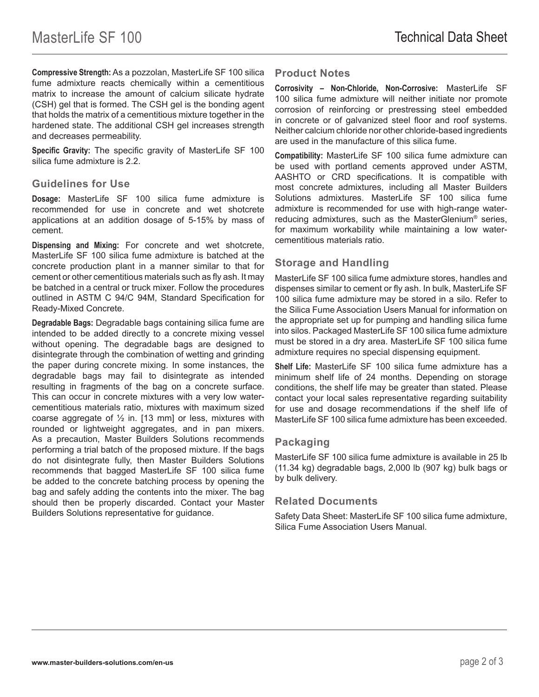**Compressive Strength:** As a pozzolan, MasterLife SF 100 silica fume admixture reacts chemically within a cementitious matrix to increase the amount of calcium silicate hydrate (CSH) gel that is formed. The CSH gel is the bonding agent that holds the matrix of a cementitious mixture together in the hardened state. The additional CSH gel increases strength and decreases permeability.

**Specific Gravity:** The specific gravity of MasterLife SF 100 silica fume admixture is 2.2.

#### **Guidelines for Use**

**Dosage:** MasterLife SF 100 silica fume admixture is recommended for use in concrete and wet shotcrete applications at an addition dosage of 5-15% by mass of cement.

**Dispensing and Mixing:** For concrete and wet shotcrete, MasterLife SF 100 silica fume admixture is batched at the concrete production plant in a manner similar to that for cement or other cementitious materials such as fly ash. It may be batched in a central or truck mixer. Follow the procedures outlined in ASTM C 94/C 94M, Standard Specification for Ready-Mixed Concrete.

**Degradable Bags:** Degradable bags containing silica fume are intended to be added directly to a concrete mixing vessel without opening. The degradable bags are designed to disintegrate through the combination of wetting and grinding the paper during concrete mixing. In some instances, the degradable bags may fail to disintegrate as intended resulting in fragments of the bag on a concrete surface. This can occur in concrete mixtures with a very low watercementitious materials ratio, mixtures with maximum sized coarse aggregate of  $\frac{1}{2}$  in. [13 mm] or less, mixtures with rounded or lightweight aggregates, and in pan mixers. As a precaution, Master Builders Solutions recommends performing a trial batch of the proposed mixture. If the bags do not disintegrate fully, then Master Builders Solutions recommends that bagged MasterLife SF 100 silica fume be added to the concrete batching process by opening the bag and safely adding the contents into the mixer. The bag should then be properly discarded. Contact your Master Builders Solutions representative for guidance.

#### **Product Notes**

**Corrosivity – Non-Chloride, Non-Corrosive:** MasterLife SF 100 silica fume admixture will neither initiate nor promote corrosion of reinforcing or prestressing steel embedded in concrete or of galvanized steel floor and roof systems. Neither calcium chloride nor other chloride-based ingredients are used in the manufacture of this silica fume.

**Compatibility:** MasterLife SF 100 silica fume admixture can be used with portland cements approved under ASTM, AASHTO or CRD specifications. It is compatible with most concrete admixtures, including all Master Builders Solutions admixtures. MasterLife SF 100 silica fume admixture is recommended for use with high-range waterreducing admixtures, such as the MasterGlenium® series, for maximum workability while maintaining a low watercementitious materials ratio.

#### **Storage and Handling**

MasterLife SF 100 silica fume admixture stores, handles and dispenses similar to cement or fly ash. In bulk, MasterLife SF 100 silica fume admixture may be stored in a silo. Refer to the Silica Fume Association Users Manual for information on the appropriate set up for pumping and handling silica fume into silos. Packaged MasterLife SF 100 silica fume admixture must be stored in a dry area. MasterLife SF 100 silica fume admixture requires no special dispensing equipment.

**Shelf Life:** MasterLife SF 100 silica fume admixture has a minimum shelf life of 24 months. Depending on storage conditions, the shelf life may be greater than stated. Please contact your local sales representative regarding suitability for use and dosage recommendations if the shelf life of MasterLife SF 100 silica fume admixture has been exceeded.

#### **Packaging**

MasterLife SF 100 silica fume admixture is available in 25 lb (11.34 kg) degradable bags, 2,000 lb (907 kg) bulk bags or by bulk delivery.

#### **Related Documents**

Safety Data Sheet: MasterLife SF 100 silica fume admixture, Silica Fume Association Users Manual.